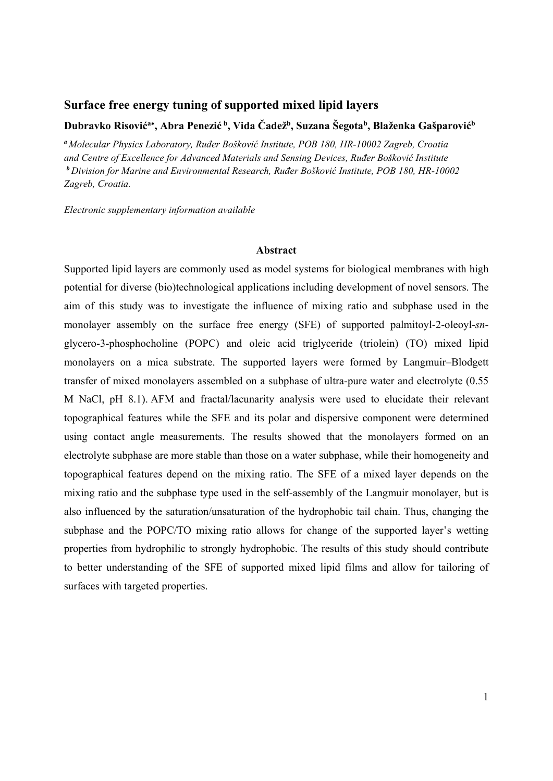### **Surface free energy tuning of supported mixed lipid layers**

#### **Dubravko Risović<sup>a</sup> , Abra Penezić b, Vida Čadežb, Suzana Šegotab, Blaženka Gašparovićb**

*<sup>a</sup> Molecular Physics Laboratory, Ruđer Bošković Institute, POB 180, HR-10002 Zagreb, Croatia and Centre of Excellence for Advanced Materials and Sensing Devices, Ruđer Bošković Institute <sup>b</sup> Division for Marine and Environmental Research, Ruđer Bošković Institute, POB 180, HR-10002 Zagreb, Croatia.* 

*Electronic supplementary information available* 

#### **Abstract**

Supported lipid layers are commonly used as model systems for biological membranes with high potential for diverse (bio)technological applications including development of novel sensors. The aim of this study was to investigate the influence of mixing ratio and subphase used in the monolayer assembly on the surface free energy (SFE) of supported palmitoyl-2-oleoyl-*sn*glycero-3-phosphocholine (POPC) and oleic acid triglyceride (triolein) (TO) mixed lipid monolayers on a mica substrate. The supported layers were formed by Langmuir–Blodgett transfer of mixed monolayers assembled on a subphase of ultra-pure water and electrolyte (0.55 M NaCl, pH 8.1). AFM and fractal/lacunarity analysis were used to elucidate their relevant topographical features while the SFE and its polar and dispersive component were determined using contact angle measurements. The results showed that the monolayers formed on an electrolyte subphase are more stable than those on a water subphase, while their homogeneity and topographical features depend on the mixing ratio. The SFE of a mixed layer depends on the mixing ratio and the subphase type used in the self-assembly of the Langmuir monolayer, but is also influenced by the saturation/unsaturation of the hydrophobic tail chain. Thus, changing the subphase and the POPC/TO mixing ratio allows for change of the supported layer's wetting properties from hydrophilic to strongly hydrophobic. The results of this study should contribute to better understanding of the SFE of supported mixed lipid films and allow for tailoring of surfaces with targeted properties.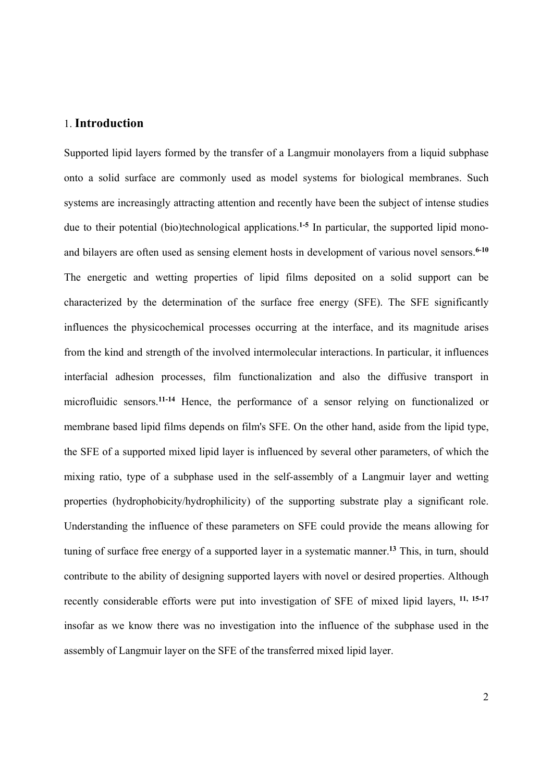### 1. **Introduction**

Supported lipid layers formed by the transfer of a Langmuir monolayers from a liquid subphase onto a solid surface are commonly used as model systems for biological membranes. Such systems are increasingly attracting attention and recently have been the subject of intense studies due to their potential (bio)technological applications.**1-5** In particular, the supported lipid monoand bilayers are often used as sensing element hosts in development of various novel sensors.**6-10** The energetic and wetting properties of lipid films deposited on a solid support can be characterized by the determination of the surface free energy (SFE). The SFE significantly influences the physicochemical processes occurring at the interface, and its magnitude arises from the kind and strength of the involved intermolecular interactions. In particular, it influences interfacial adhesion processes, film functionalization and also the diffusive transport in microfluidic sensors.**11-14** Hence, the performance of a sensor relying on functionalized or membrane based lipid films depends on film's SFE. On the other hand, aside from the lipid type, the SFE of a supported mixed lipid layer is influenced by several other parameters, of which the mixing ratio, type of a subphase used in the self-assembly of a Langmuir layer and wetting properties (hydrophobicity/hydrophilicity) of the supporting substrate play a significant role. Understanding the influence of these parameters on SFE could provide the means allowing for tuning of surface free energy of a supported layer in a systematic manner.**<sup>13</sup>** This, in turn, should contribute to the ability of designing supported layers with novel or desired properties. Although recently considerable efforts were put into investigation of SFE of mixed lipid layers, **11, 15-17** insofar as we know there was no investigation into the influence of the subphase used in the assembly of Langmuir layer on the SFE of the transferred mixed lipid layer.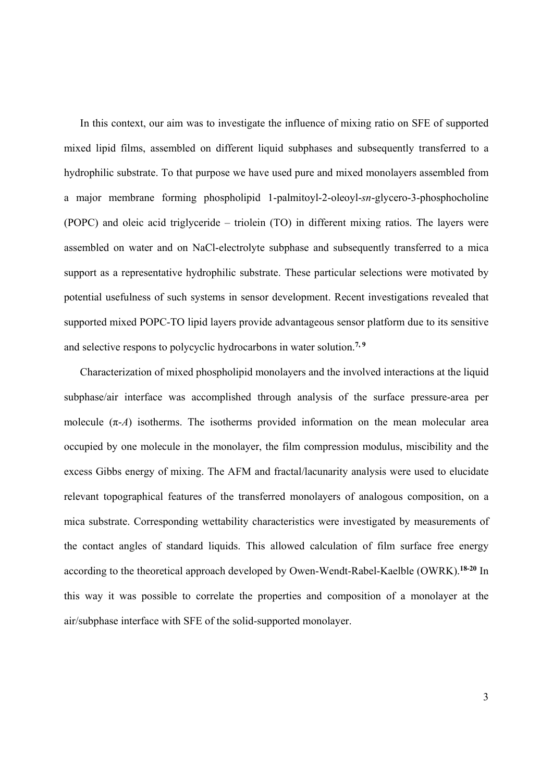In this context, our aim was to investigate the influence of mixing ratio on SFE of supported mixed lipid films, assembled on different liquid subphases and subsequently transferred to a hydrophilic substrate. To that purpose we have used pure and mixed monolayers assembled from a major membrane forming phospholipid 1-palmitoyl-2-oleoyl-*sn*-glycero-3-phosphocholine (POPC) and oleic acid triglyceride – triolein (TO) in different mixing ratios. The layers were assembled on water and on NaCl-electrolyte subphase and subsequently transferred to a mica support as a representative hydrophilic substrate. These particular selections were motivated by potential usefulness of such systems in sensor development. Recent investigations revealed that supported mixed POPC-TO lipid layers provide advantageous sensor platform due to its sensitive and selective respons to polycyclic hydrocarbons in water solution.**7, 9**

Characterization of mixed phospholipid monolayers and the involved interactions at the liquid subphase/air interface was accomplished through analysis of the surface pressure-area per molecule  $(\pi - A)$  isotherms. The isotherms provided information on the mean molecular area occupied by one molecule in the monolayer, the film compression modulus, miscibility and the excess Gibbs energy of mixing. The AFM and fractal/lacunarity analysis were used to elucidate relevant topographical features of the transferred monolayers of analogous composition, on a mica substrate. Corresponding wettability characteristics were investigated by measurements of the contact angles of standard liquids. This allowed calculation of film surface free energy according to the theoretical approach developed by Owen-Wendt-Rabel-Kaelble (OWRK).**18-20** In this way it was possible to correlate the properties and composition of a monolayer at the air/subphase interface with SFE of the solid-supported monolayer.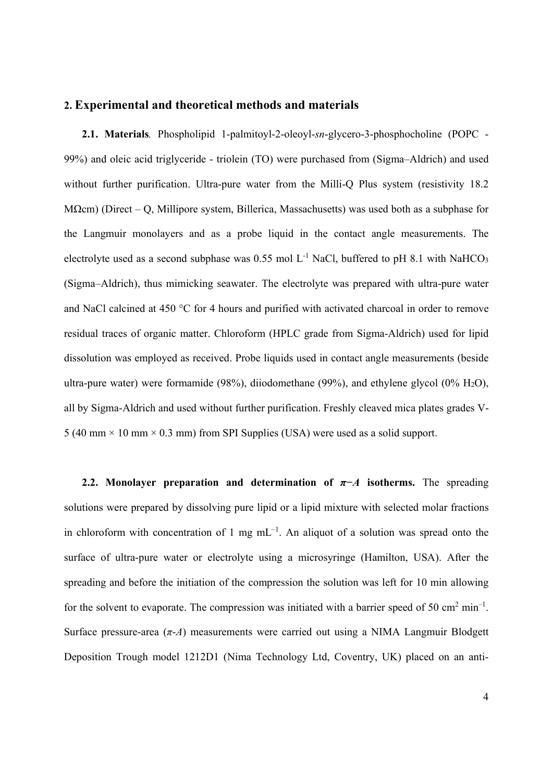#### **2. Experimental and theoretical methods and materials**

**2.1. Materials***.* Phospholipid 1-palmitoyl-2-oleoyl-*sn*-glycero-3-phosphocholine (POPC - 99%) and oleic acid triglyceride - triolein (TO) were purchased from (Sigma–Aldrich) and used without further purification. Ultra-pure water from the Milli-O Plus system (resistivity 18.2) MΩcm) (Direct – Q, Millipore system, Billerica, Massachusetts) was used both as a subphase for the Langmuir monolayers and as a probe liquid in the contact angle measurements. The electrolyte used as a second subphase was  $0.55$  mol L<sup>-1</sup> NaCl, buffered to pH 8.1 with NaHCO<sub>3</sub> (Sigma–Aldrich), thus mimicking seawater. The electrolyte was prepared with ultra-pure water and NaCl calcined at 450 °C for 4 hours and purified with activated charcoal in order to remove residual traces of organic matter. Chloroform (HPLC grade from Sigma-Aldrich) used for lipid dissolution was employed as received. Probe liquids used in contact angle measurements (beside ultra-pure water) were formamide  $(98\%)$ , diiodomethane  $(99\%)$ , and ethylene glycol  $(0\% \text{ H}_2\text{O})$ , all by Sigma-Aldrich and used without further purification. Freshly cleaved mica plates grades V-5 (40 mm  $\times$  10 mm  $\times$  0.3 mm) from SPI Supplies (USA) were used as a solid support.

**2.2. Monolayer preparation and determination of**  $\pi$ **−***A* **isotherms. The spreading** solutions were prepared by dissolving pure lipid or a lipid mixture with selected molar fractions in chloroform with concentration of 1 mg  $mL^{-1}$ . An aliquot of a solution was spread onto the surface of ultra-pure water or electrolyte using a microsyringe (Hamilton, USA). After the spreading and before the initiation of the compression the solution was left for 10 min allowing for the solvent to evaporate. The compression was initiated with a barrier speed of 50  $\text{cm}^2$  min<sup>-1</sup>. Surface pressure-area (*π*-*A*) measurements were carried out using a NIMA Langmuir Blodgett Deposition Trough model 1212D1 (Nima Technology Ltd, Coventry, UK) placed on an anti-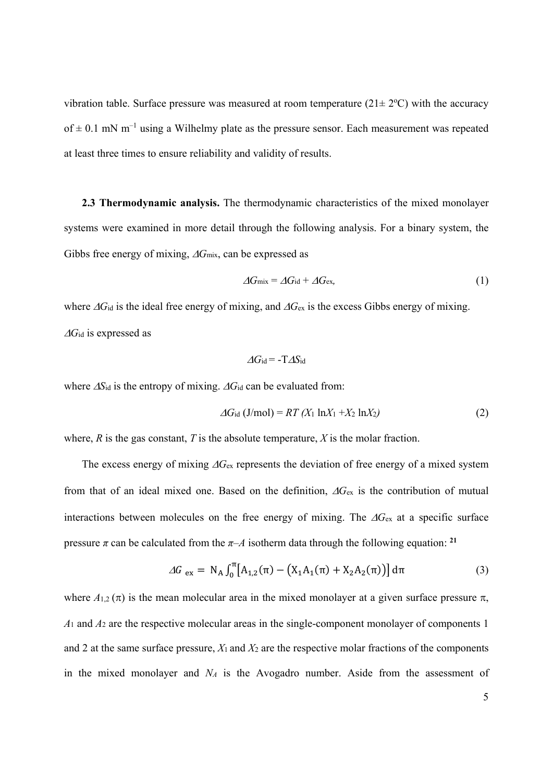vibration table. Surface pressure was measured at room temperature  $(21 \pm 2^{\circ}C)$  with the accuracy of  $\pm$  0.1 mN m<sup>-1</sup> using a Wilhelmy plate as the pressure sensor. Each measurement was repeated at least three times to ensure reliability and validity of results.

**2.3 Thermodynamic analysis.** The thermodynamic characteristics of the mixed monolayer systems were examined in more detail through the following analysis. For a binary system, the Gibbs free energy of mixing,  $\Delta G$ <sub>mix</sub>, can be expressed as

$$
\Delta G_{\text{mix}} = \Delta G_{\text{id}} + \Delta G_{\text{ex}},\tag{1}
$$

where  $\Delta G_{id}$  is the ideal free energy of mixing, and  $\Delta G_{ex}$  is the excess Gibbs energy of mixing. *G*id is expressed as

$$
\Delta G_{\rm id} = -T \Delta S_{\rm id}
$$

where  $\Delta S_{id}$  is the entropy of mixing.  $\Delta G_{id}$  can be evaluated from:

$$
\Delta G_{\rm id} \left( \text{J/mol} \right) = RT \left( X_1 \ln X_1 + X_2 \ln X_2 \right) \tag{2}
$$

where,  $R$  is the gas constant,  $T$  is the absolute temperature,  $X$  is the molar fraction.

The excess energy of mixing  $\Delta G_{\text{ex}}$  represents the deviation of free energy of a mixed system from that of an ideal mixed one. Based on the definition,  $\Delta G_{\text{ex}}$  is the contribution of mutual interactions between molecules on the free energy of mixing. The  $\Delta G_{\text{ex}}$  at a specific surface pressure  $\pi$  can be calculated from the  $\pi$ –*A* isotherm data through the following equation: <sup>21</sup>

$$
\Delta G_{\text{ex}} = N_A \int_0^{\pi} [A_{1,2}(\pi) - (X_1 A_1(\pi) + X_2 A_2(\pi))] d\pi
$$
 (3)

where  $A_{1,2}(\pi)$  is the mean molecular area in the mixed monolayer at a given surface pressure  $\pi$ , *A*1 and *A*2 are the respective molecular areas in the single-component monolayer of components 1 and 2 at the same surface pressure, *X*1 and *X*2 are the respective molar fractions of the components in the mixed monolayer and *NA* is the Avogadro number. Aside from the assessment of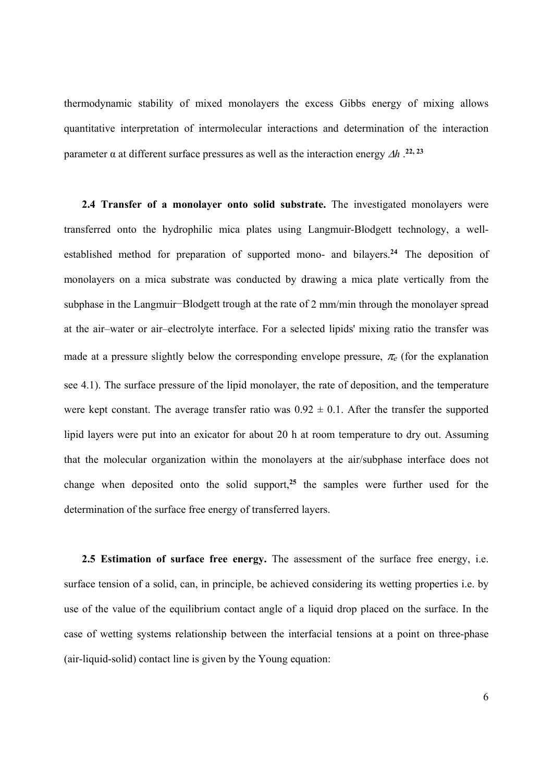thermodynamic stability of mixed monolayers the excess Gibbs energy of mixing allows quantitative interpretation of intermolecular interactions and determination of the interaction parameter α at different surface pressures as well as the interaction energy  $Δh$ .<sup>22, 23</sup>

**2.4 Transfer of a monolayer onto solid substrate.** The investigated monolayers were transferred onto the hydrophilic mica plates using Langmuir-Blodgett technology, a wellestablished method for preparation of supported mono- and bilayers.**<sup>24</sup>** The deposition of monolayers on a mica substrate was conducted by drawing a mica plate vertically from the subphase in the Langmuir−Blodgett trough at the rate of 2 mm/min through the monolayer spread at the air–water or air–electrolyte interface. For a selected lipids' mixing ratio the transfer was made at a pressure slightly below the corresponding envelope pressure,  $\pi_e$  (for the explanation see 4.1). The surface pressure of the lipid monolayer, the rate of deposition, and the temperature were kept constant. The average transfer ratio was  $0.92 \pm 0.1$ . After the transfer the supported lipid layers were put into an exicator for about 20 h at room temperature to dry out. Assuming that the molecular organization within the monolayers at the air/subphase interface does not change when deposited onto the solid support,**<sup>25</sup>** the samples were further used for the determination of the surface free energy of transferred layers.

**2.5 Estimation of surface free energy.** The assessment of the surface free energy, i.e. surface tension of a solid, can, in principle, be achieved considering its wetting properties i.e. by use of the value of the equilibrium contact angle of a liquid drop placed on the surface. In the case of wetting systems relationship between the interfacial tensions at a point on three-phase (air-liquid-solid) contact line is given by the Young equation: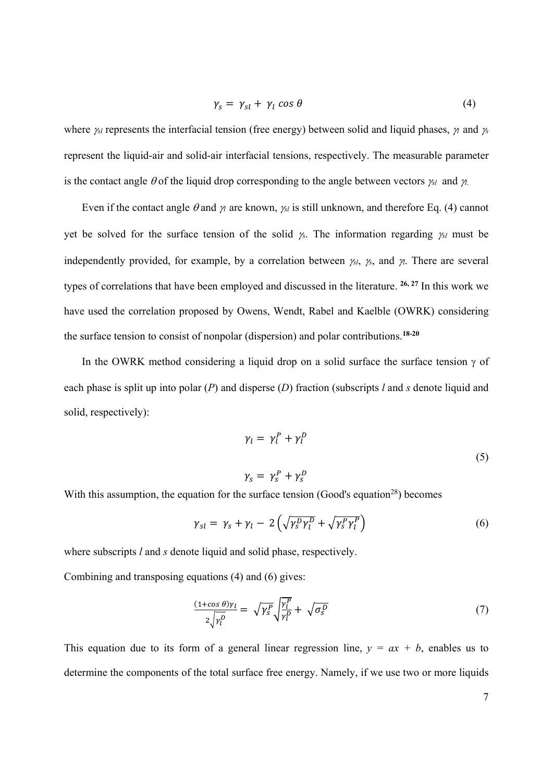$$
\gamma_s = \gamma_{sl} + \gamma_l \cos \theta \tag{4}
$$

where  $\gamma_{sl}$  represents the interfacial tension (free energy) between solid and liquid phases,  $\gamma_l$  and  $\gamma_s$ represent the liquid-air and solid-air interfacial tensions, respectively. The measurable parameter is the contact angle  $\theta$  of the liquid drop corresponding to the angle between vectors  $\gamma_{sl}$  and  $\gamma_{ls}$ .

Even if the contact angle  $\theta$  and  $\gamma$  are known,  $\gamma_{sl}$  is still unknown, and therefore Eq. (4) cannot yet be solved for the surface tension of the solid *<sup>s</sup>*. The information regarding *sl* must be independently provided, for example, by a correlation between  $\gamma_{sl}$ ,  $\gamma_{sl}$ , and  $\gamma$ . There are several types of correlations that have been employed and discussed in the literature. **26, 27** In this work we have used the correlation proposed by Owens, Wendt, Rabel and Kaelble (OWRK) considering the surface tension to consist of nonpolar (dispersion) and polar contributions.**18-20**

In the OWRK method considering a liquid drop on a solid surface the surface tension  $\gamma$  of each phase is split up into polar (*P*) and disperse (*D*) fraction (subscripts *l* and *s* denote liquid and solid, respectively):

$$
\gamma_l = \gamma_l^P + \gamma_l^D
$$
  

$$
\gamma_s = \gamma_s^P + \gamma_s^D
$$
 (5)

With this assumption, the equation for the surface tension (Good's equation<sup>28</sup>) becomes

$$
\gamma_{sl} = \gamma_s + \gamma_l - 2\left(\sqrt{\gamma_s^D \gamma_l^D} + \sqrt{\gamma_s^P \gamma_l^P}\right) \tag{6}
$$

where subscripts *l* and *s* denote liquid and solid phase, respectively.

Combining and transposing equations (4) and (6) gives:

$$
\frac{(1+\cos\theta)\gamma_l}{2\sqrt{\gamma_l^D}} = \sqrt{\gamma_s^P} \sqrt{\frac{\gamma_l^P}{\gamma_l^D}} + \sqrt{\sigma_s^D}
$$
\n(7)

This equation due to its form of a general linear regression line,  $y = ax + b$ , enables us to determine the components of the total surface free energy. Namely, if we use two or more liquids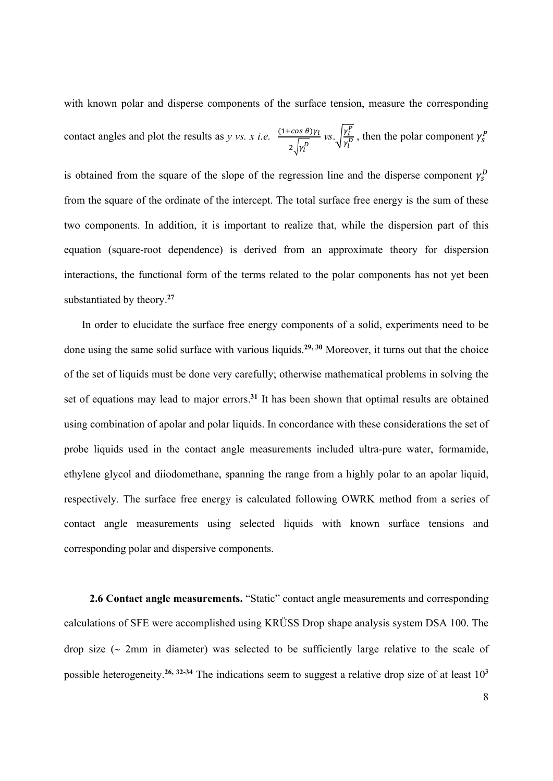with known polar and disperse components of the surface tension, measure the corresponding contact angles and plot the results as *y vs. x i.e.*  $\frac{(1+\cos\theta)\gamma_l}{\sqrt{m}}$  $\frac{\partial^2 \cos \theta}{\partial x^2}$  vs.  $\sqrt{\frac{\gamma_l^p}{\gamma_l^p}}$  $\frac{\gamma_l}{\gamma_l^D}$ , then the polar component  $\gamma_s^P$ 

is obtained from the square of the slope of the regression line and the disperse component  $\gamma_s^D$ from the square of the ordinate of the intercept. The total surface free energy is the sum of these two components. In addition, it is important to realize that, while the dispersion part of this equation (square-root dependence) is derived from an approximate theory for dispersion interactions, the functional form of the terms related to the polar components has not yet been substantiated by theory.**<sup>27</sup>**

In order to elucidate the surface free energy components of a solid, experiments need to be done using the same solid surface with various liquids.**29, 30** Moreover, it turns out that the choice of the set of liquids must be done very carefully; otherwise mathematical problems in solving the set of equations may lead to major errors.**<sup>31</sup>** It has been shown that optimal results are obtained using combination of apolar and polar liquids. In concordance with these considerations the set of probe liquids used in the contact angle measurements included ultra-pure water, formamide, ethylene glycol and diiodomethane, spanning the range from a highly polar to an apolar liquid, respectively. The surface free energy is calculated following OWRK method from a series of contact angle measurements using selected liquids with known surface tensions and corresponding polar and dispersive components.

 **2.6 Contact angle measurements.** "Static" contact angle measurements and corresponding calculations of SFE were accomplished using KRÜSS Drop shape analysis system DSA 100. The drop size  $(\sim 2$ mm in diameter) was selected to be sufficiently large relative to the scale of possible heterogeneity.**26, 32-34** The indications seem to suggest a relative drop size of at least 103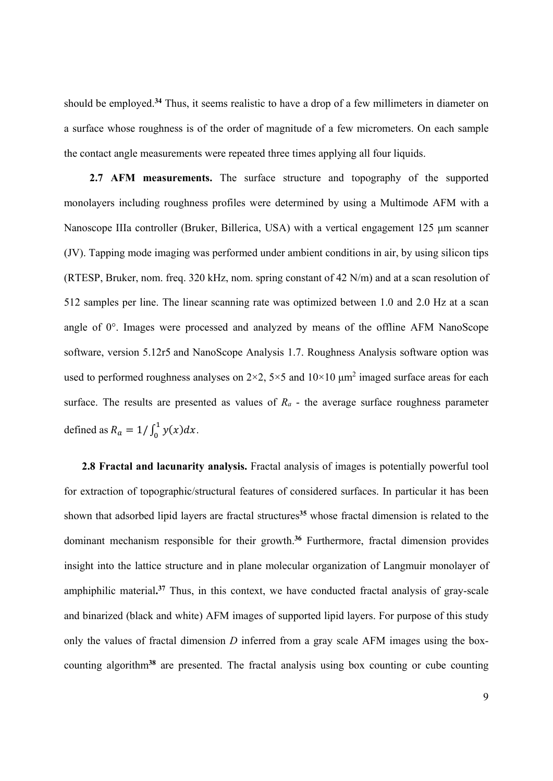should be employed.**<sup>34</sup>** Thus, it seems realistic to have a drop of a few millimeters in diameter on a surface whose roughness is of the order of magnitude of a few micrometers. On each sample the contact angle measurements were repeated three times applying all four liquids.

 **2.7 AFM measurements.** The surface structure and topography of the supported monolayers including roughness profiles were determined by using a Multimode AFM with a Nanoscope IIIa controller (Bruker, Billerica, USA) with a vertical engagement 125 μm scanner (JV). Tapping mode imaging was performed under ambient conditions in air, by using silicon tips (RTESP, Bruker, nom. freq. 320 kHz, nom. spring constant of 42 N/m) and at a scan resolution of 512 samples per line. The linear scanning rate was optimized between 1.0 and 2.0 Hz at a scan angle of 0°. Images were processed and analyzed by means of the offline AFM NanoScope software, version 5.12r5 and NanoScope Analysis 1.7. Roughness Analysis software option was used to performed roughness analyses on  $2\times 2$ ,  $5\times 5$  and  $10\times 10$   $\mu$ m<sup>2</sup> imaged surface areas for each surface. The results are presented as values of  $R_a$  - the average surface roughness parameter defined as  $R_a = 1/\int_0^1 y(x) dx$ .

**2.8 Fractal and lacunarity analysis.** Fractal analysis of images is potentially powerful tool for extraction of topographic/structural features of considered surfaces. In particular it has been shown that adsorbed lipid layers are fractal structures**<sup>35</sup>** whose fractal dimension is related to the dominant mechanism responsible for their growth.**<sup>36</sup>** Furthermore, fractal dimension provides insight into the lattice structure and in plane molecular organization of Langmuir monolayer of amphiphilic material**. <sup>37</sup>** Thus, in this context, we have conducted fractal analysis of gray-scale and binarized (black and white) AFM images of supported lipid layers. For purpose of this study only the values of fractal dimension *D* inferred from a gray scale AFM images using the boxcounting algorithm**38** are presented. The fractal analysis using box counting or cube counting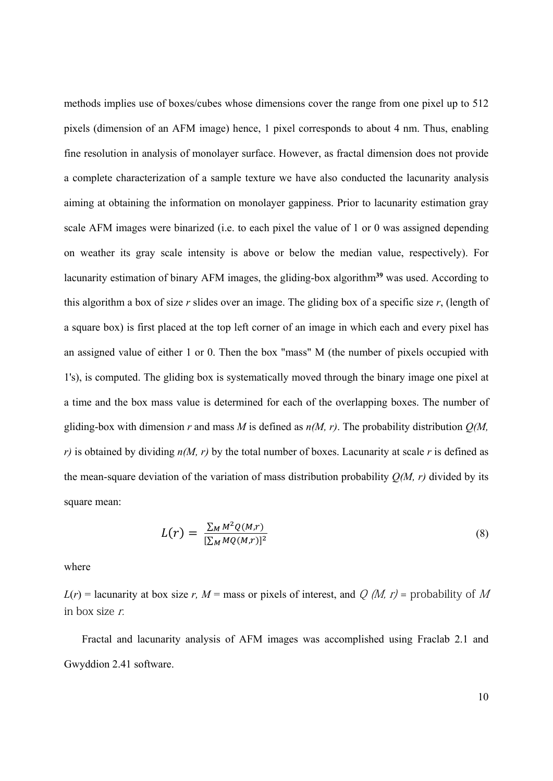methods implies use of boxes/cubes whose dimensions cover the range from one pixel up to 512 pixels (dimension of an AFM image) hence, 1 pixel corresponds to about 4 nm. Thus, enabling fine resolution in analysis of monolayer surface. However, as fractal dimension does not provide a complete characterization of a sample texture we have also conducted the lacunarity analysis aiming at obtaining the information on monolayer gappiness. Prior to lacunarity estimation gray scale AFM images were binarized (i.e. to each pixel the value of 1 or 0 was assigned depending on weather its gray scale intensity is above or below the median value, respectively). For lacunarity estimation of binary AFM images, the gliding-box algorithm**<sup>39</sup>** was used. According to this algorithm a box of size *r* slides over an image. The gliding box of a specific size *r*, (length of a square box) is first placed at the top left corner of an image in which each and every pixel has an assigned value of either 1 or 0. Then the box "mass" M (the number of pixels occupied with 1's), is computed. The gliding box is systematically moved through the binary image one pixel at a time and the box mass value is determined for each of the overlapping boxes. The number of gliding-box with dimension  $r$  and mass  $M$  is defined as  $n(M, r)$ . The probability distribution  $Q(M, r)$ *r)* is obtained by dividing *n(M, r)* by the total number of boxes. Lacunarity at scale *r* is defined as the mean-square deviation of the variation of mass distribution probability  $Q(M, r)$  divided by its square mean:

$$
L(r) = \frac{\sum_{M} M^2 Q(M, r)}{[\sum_{M} M Q(M, r)]^2}
$$
\n(8)

where

 $L(r)$  = lacunarity at box size *r*, M = mass or pixels of interest, and Q (M, r) = probability of M in box size r.

Fractal and lacunarity analysis of AFM images was accomplished using Fraclab 2.1 and Gwyddion 2.41 software.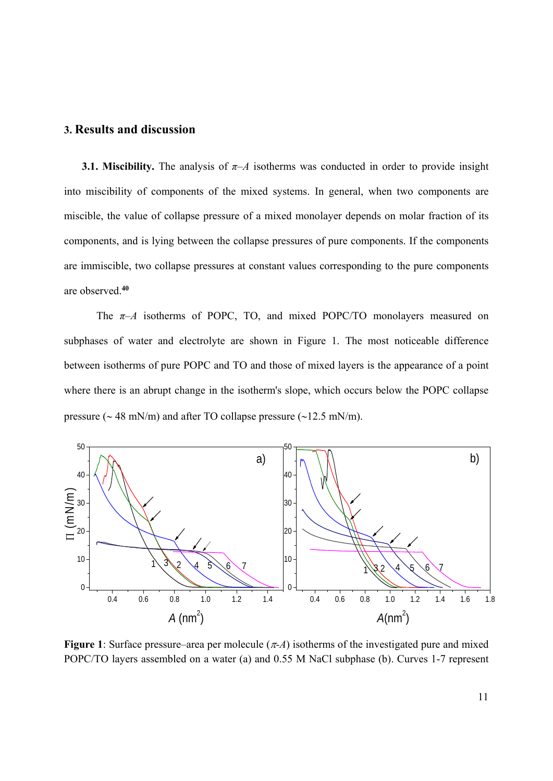# **3. Results and discussion**

**3.1. Miscibility.** The analysis of  $\pi$ –*A* isotherms was conducted in order to provide insight into miscibility of components of the mixed systems. In general, when two components are miscible, the value of collapse pressure of a mixed monolayer depends on molar fraction of its components, and is lying between the collapse pressures of pure components. If the components are immiscible, two collapse pressures at constant values corresponding to the pure components are observed.**<sup>40</sup>**

The *π*–*A* isotherms of POPC, TO, and mixed POPC/TO monolayers measured on subphases of water and electrolyte are shown in Figure 1. The most noticeable difference between isotherms of pure POPC and TO and those of mixed layers is the appearance of a point where there is an abrupt change in the isotherm's slope, which occurs below the POPC collapse pressure ( $\sim$  48 mN/m) and after TO collapse pressure ( $\sim$ 12.5 mN/m).



**Figure 1**: Surface pressure–area per molecule  $(π-A)$  isotherms of the investigated pure and mixed POPC/TO layers assembled on a water (a) and 0.55 M NaCl subphase (b). Curves 1-7 represent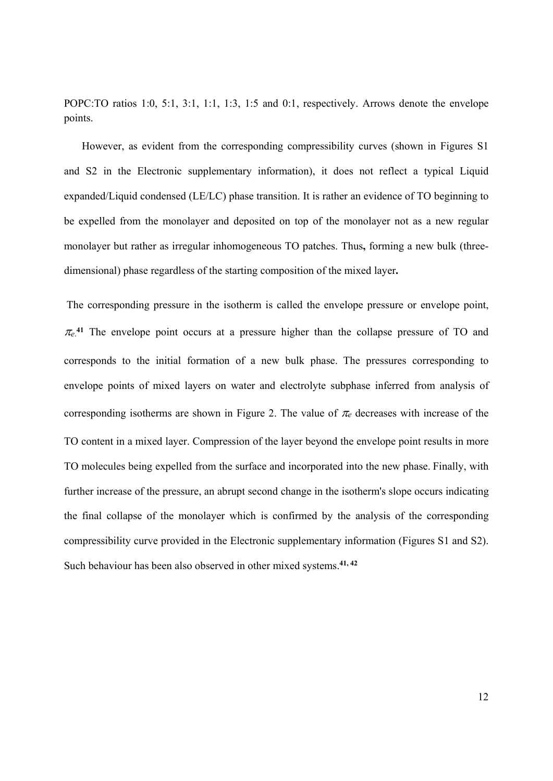POPC:TO ratios 1:0, 5:1, 3:1, 1:1, 1:3, 1:5 and 0:1, respectively. Arrows denote the envelope points.

However, as evident from the corresponding compressibility curves (shown in Figures S1 and S2 in the Electronic supplementary information), it does not reflect a typical Liquid expanded/Liquid condensed (LE/LC) phase transition. It is rather an evidence of TO beginning to be expelled from the monolayer and deposited on top of the monolayer not as a new regular monolayer but rather as irregular inhomogeneous TO patches. Thus**,** forming a new bulk (threedimensional) phase regardless of the starting composition of the mixed layer**.** 

The corresponding pressure in the isotherm is called the envelope pressure or envelope point,  $\pi$ <sup>41</sup> The envelope point occurs at a pressure higher than the collapse pressure of TO and corresponds to the initial formation of a new bulk phase. The pressures corresponding to envelope points of mixed layers on water and electrolyte subphase inferred from analysis of corresponding isotherms are shown in Figure 2. The value of  $\pi_e$  decreases with increase of the TO content in a mixed layer. Compression of the layer beyond the envelope point results in more TO molecules being expelled from the surface and incorporated into the new phase. Finally, with further increase of the pressure, an abrupt second change in the isotherm's slope occurs indicating the final collapse of the monolayer which is confirmed by the analysis of the corresponding compressibility curve provided in the Electronic supplementary information (Figures S1 and S2). Such behaviour has been also observed in other mixed systems.**41, 42**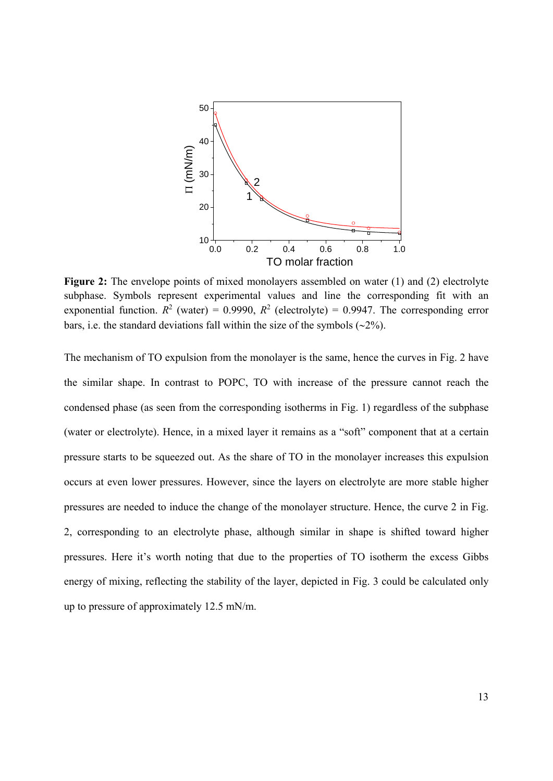

**Figure 2:** The envelope points of mixed monolayers assembled on water (1) and (2) electrolyte subphase. Symbols represent experimental values and line the corresponding fit with an exponential function.  $R^2$  (water) = 0.9990,  $R^2$  (electrolyte) = 0.9947. The corresponding error bars, i.e. the standard deviations fall within the size of the symbols  $(\sim 2\%)$ .

The mechanism of TO expulsion from the monolayer is the same, hence the curves in Fig. 2 have the similar shape. In contrast to POPC, TO with increase of the pressure cannot reach the condensed phase (as seen from the corresponding isotherms in Fig. 1) regardless of the subphase (water or electrolyte). Hence, in a mixed layer it remains as a "soft" component that at a certain pressure starts to be squeezed out. As the share of TO in the monolayer increases this expulsion occurs at even lower pressures. However, since the layers on electrolyte are more stable higher pressures are needed to induce the change of the monolayer structure. Hence, the curve 2 in Fig. 2, corresponding to an electrolyte phase, although similar in shape is shifted toward higher pressures. Here it's worth noting that due to the properties of TO isotherm the excess Gibbs energy of mixing, reflecting the stability of the layer, depicted in Fig. 3 could be calculated only up to pressure of approximately 12.5 mN/m.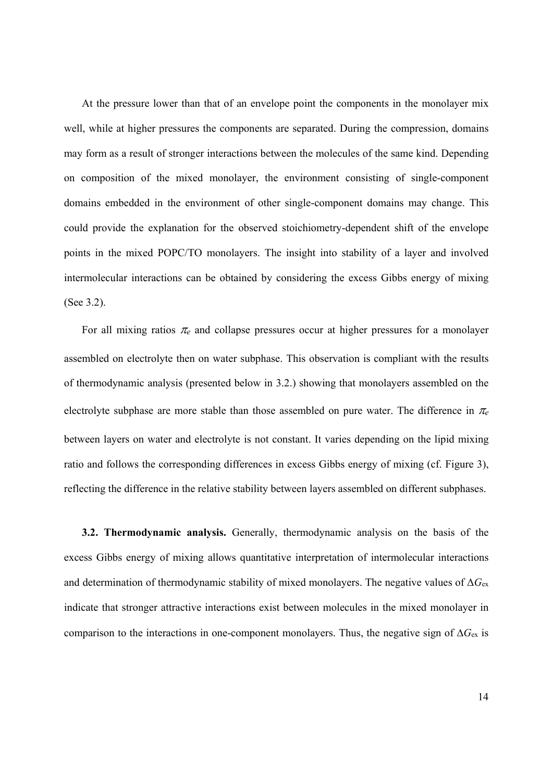At the pressure lower than that of an envelope point the components in the monolayer mix well, while at higher pressures the components are separated. During the compression, domains may form as a result of stronger interactions between the molecules of the same kind. Depending on composition of the mixed monolayer, the environment consisting of single-component domains embedded in the environment of other single-component domains may change. This could provide the explanation for the observed stoichiometry-dependent shift of the envelope points in the mixed POPC/TO monolayers. The insight into stability of a layer and involved intermolecular interactions can be obtained by considering the excess Gibbs energy of mixing (See 3.2).

For all mixing ratios  $\pi_e$  and collapse pressures occur at higher pressures for a monolayer assembled on electrolyte then on water subphase. This observation is compliant with the results of thermodynamic analysis (presented below in 3.2.) showing that monolayers assembled on the electrolyte subphase are more stable than those assembled on pure water. The difference in  $\pi_e$ between layers on water and electrolyte is not constant. It varies depending on the lipid mixing ratio and follows the corresponding differences in excess Gibbs energy of mixing (cf. Figure 3), reflecting the difference in the relative stability between layers assembled on different subphases.

**3.2. Thermodynamic analysis.** Generally, thermodynamic analysis on the basis of the excess Gibbs energy of mixing allows quantitative interpretation of intermolecular interactions and determination of thermodynamic stability of mixed monolayers. The negative values of Δ*G*ex indicate that stronger attractive interactions exist between molecules in the mixed monolayer in comparison to the interactions in one-component monolayers. Thus, the negative sign of  $\Delta G_{\text{ex}}$  is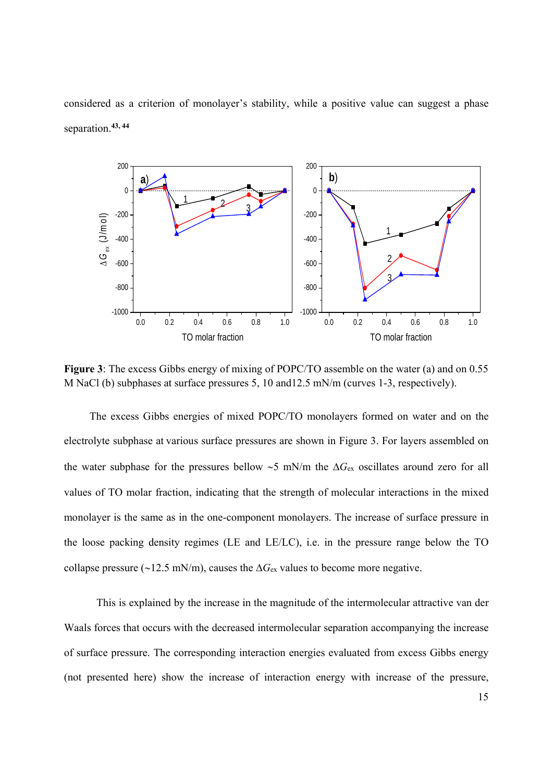considered as a criterion of monolayer's stability, while a positive value can suggest a phase separation.**43, 44**



**Figure 3**: The excess Gibbs energy of mixing of POPC/TO assemble on the water (a) and on 0.55 M NaCl (b) subphases at surface pressures 5, 10 and12.5 mN/m (curves 1-3, respectively).

The excess Gibbs energies of mixed POPC/TO monolayers formed on water and on the electrolyte subphase at various surface pressures are shown in Figure 3. For layers assembled on the water subphase for the pressures bellow  $\sim$ 5 mN/m the  $\Delta G_{\text{ex}}$  oscillates around zero for all values of TO molar fraction, indicating that the strength of molecular interactions in the mixed monolayer is the same as in the one-component monolayers. The increase of surface pressure in the loose packing density regimes (LE and LE/LC), i.e. in the pressure range below the TO collapse pressure ( $\sim$ 12.5 mN/m), causes the  $\Delta G_{\rm ex}$  values to become more negative.

This is explained by the increase in the magnitude of the intermolecular attractive van der Waals forces that occurs with the decreased intermolecular separation accompanying the increase of surface pressure. The corresponding interaction energies evaluated from excess Gibbs energy (not presented here) show the increase of interaction energy with increase of the pressure,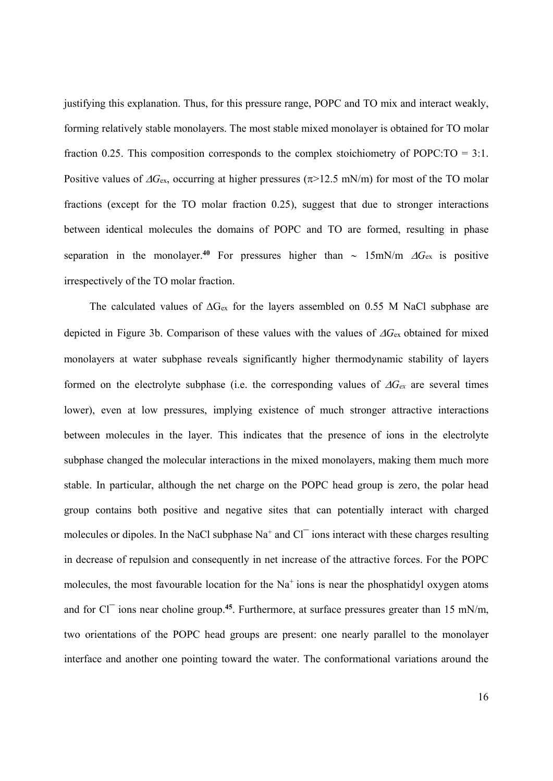justifying this explanation. Thus, for this pressure range, POPC and TO mix and interact weakly, forming relatively stable monolayers. The most stable mixed monolayer is obtained for TO molar fraction 0.25. This composition corresponds to the complex stoichiometry of POPC: $TO = 3:1$ . Positive values of  $\Delta G_{\text{ex}}$ , occurring at higher pressures ( $\pi$ >12.5 mN/m) for most of the TO molar fractions (except for the TO molar fraction 0.25), suggest that due to stronger interactions between identical molecules the domains of POPC and TO are formed, resulting in phase separation in the monolayer.<sup>40</sup> For pressures higher than  $\sim 15 \text{mN/m}$   $\Delta G_{\text{ex}}$  is positive irrespectively of the TO molar fraction.

The calculated values of  $\Delta G_{\text{ex}}$  for the layers assembled on 0.55 M NaCl subphase are depicted in Figure 3b. Comparison of these values with the values of  $\Delta G_{\text{ex}}$  obtained for mixed monolayers at water subphase reveals significantly higher thermodynamic stability of layers formed on the electrolyte subphase (i.e. the corresponding values of  $\Delta G_{ex}$  are several times lower), even at low pressures, implying existence of much stronger attractive interactions between molecules in the layer. This indicates that the presence of ions in the electrolyte subphase changed the molecular interactions in the mixed monolayers, making them much more stable. In particular, although the net charge on the POPC head group is zero, the polar head group contains both positive and negative sites that can potentially interact with charged molecules or dipoles. In the NaCl subphase  $Na^+$  and  $Cl^-$  ions interact with these charges resulting in decrease of repulsion and consequently in net increase of the attractive forces. For the POPC molecules, the most favourable location for the  $Na<sup>+</sup>$  ions is near the phosphatidyl oxygen atoms and for  $CI<sup>-</sup>$  ions near choline group.<sup>45</sup>. Furthermore, at surface pressures greater than 15 mN/m, two orientations of the POPC head groups are present: one nearly parallel to the monolayer interface and another one pointing toward the water. The conformational variations around the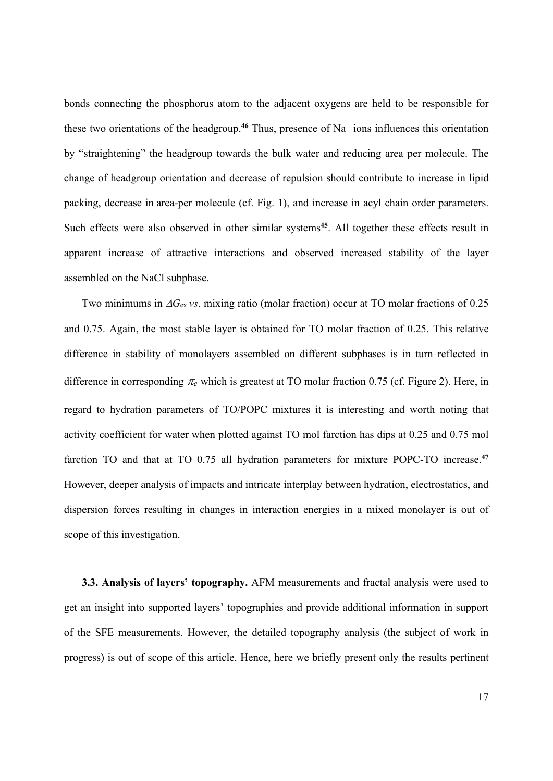bonds connecting the phosphorus atom to the adjacent oxygens are held to be responsible for these two orientations of the headgroup.<sup>46</sup> Thus, presence of Na<sup>+</sup> ions influences this orientation by "straightening" the headgroup towards the bulk water and reducing area per molecule. The change of headgroup orientation and decrease of repulsion should contribute to increase in lipid packing, decrease in area-per molecule (cf. Fig. 1), and increase in acyl chain order parameters. Such effects were also observed in other similar systems**<sup>45</sup>**. All together these effects result in apparent increase of attractive interactions and observed increased stability of the layer assembled on the NaCl subphase.

Two minimums in *G*ex *vs*. mixing ratio (molar fraction) occur at TO molar fractions of 0.25 and 0.75. Again, the most stable layer is obtained for TO molar fraction of 0.25. This relative difference in stability of monolayers assembled on different subphases is in turn reflected in difference in corresponding  $\pi_e$  which is greatest at TO molar fraction 0.75 (cf. Figure 2). Here, in regard to hydration parameters of TO/POPC mixtures it is interesting and worth noting that activity coefficient for water when plotted against TO mol farction has dips at 0.25 and 0.75 mol farction TO and that at TO 0.75 all hydration parameters for mixture POPC-TO increase.**<sup>47</sup>** However, deeper analysis of impacts and intricate interplay between hydration, electrostatics, and dispersion forces resulting in changes in interaction energies in a mixed monolayer is out of scope of this investigation.

**3.3. Analysis of layers' topography.** AFM measurements and fractal analysis were used to get an insight into supported layers' topographies and provide additional information in support of the SFE measurements. However, the detailed topography analysis (the subject of work in progress) is out of scope of this article. Hence, here we briefly present only the results pertinent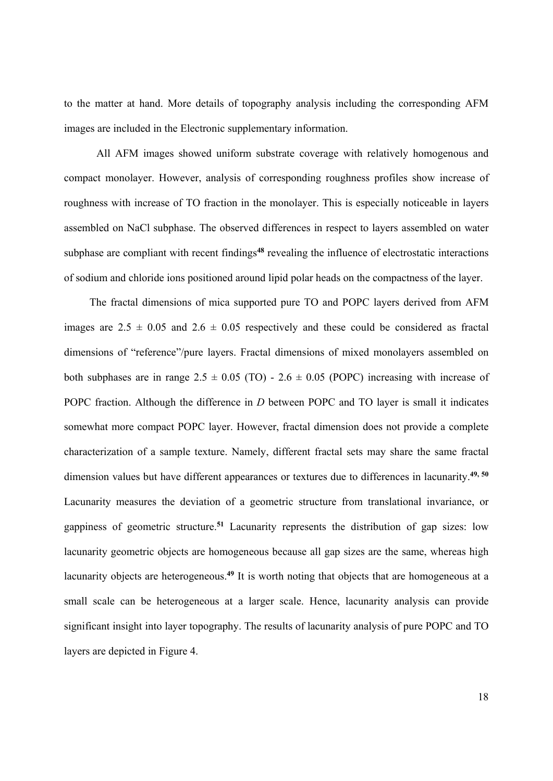to the matter at hand. More details of topography analysis including the corresponding AFM images are included in the Electronic supplementary information.

All AFM images showed uniform substrate coverage with relatively homogenous and compact monolayer. However, analysis of corresponding roughness profiles show increase of roughness with increase of TO fraction in the monolayer. This is especially noticeable in layers assembled on NaCl subphase. The observed differences in respect to layers assembled on water subphase are compliant with recent findings**<sup>48</sup>** revealing the influence of electrostatic interactions of sodium and chloride ions positioned around lipid polar heads on the compactness of the layer.

The fractal dimensions of mica supported pure TO and POPC layers derived from AFM images are  $2.5 \pm 0.05$  and  $2.6 \pm 0.05$  respectively and these could be considered as fractal dimensions of "reference"/pure layers. Fractal dimensions of mixed monolayers assembled on both subphases are in range  $2.5 \pm 0.05$  (TO) -  $2.6 \pm 0.05$  (POPC) increasing with increase of POPC fraction. Although the difference in *D* between POPC and TO layer is small it indicates somewhat more compact POPC layer. However, fractal dimension does not provide a complete characterization of a sample texture. Namely, different fractal sets may share the same fractal dimension values but have different appearances or textures due to differences in lacunarity.**49, 50** Lacunarity measures the deviation of a geometric structure from translational invariance, or gappiness of geometric structure.**<sup>51</sup>** Lacunarity represents the distribution of gap sizes: low lacunarity geometric objects are homogeneous because all gap sizes are the same, whereas high lacunarity objects are heterogeneous.<sup>49</sup> It is worth noting that objects that are homogeneous at a small scale can be heterogeneous at a larger scale. Hence, lacunarity analysis can provide significant insight into layer topography. The results of lacunarity analysis of pure POPC and TO layers are depicted in Figure 4.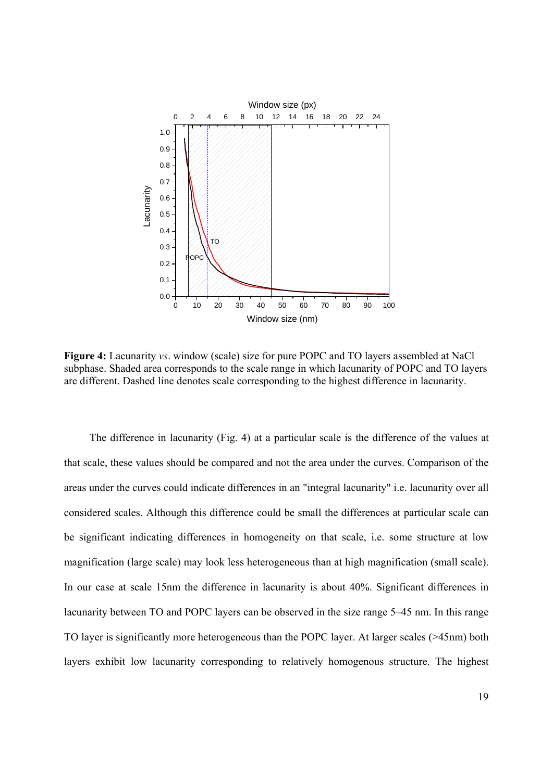

**Figure 4:** Lacunarity *vs*. window (scale) size for pure POPC and TO layers assembled at NaCl subphase. Shaded area corresponds to the scale range in which lacunarity of POPC and TO layers are different. Dashed line denotes scale corresponding to the highest difference in lacunarity.

The difference in lacunarity (Fig. 4) at a particular scale is the difference of the values at that scale, these values should be compared and not the area under the curves. Comparison of the areas under the curves could indicate differences in an "integral lacunarity" i.e. lacunarity over all considered scales. Although this difference could be small the differences at particular scale can be significant indicating differences in homogeneity on that scale, i.e. some structure at low magnification (large scale) may look less heterogeneous than at high magnification (small scale). In our case at scale 15nm the difference in lacunarity is about 40%. Significant differences in lacunarity between TO and POPC layers can be observed in the size range 5–45 nm. In this range TO layer is significantly more heterogeneous than the POPC layer. At larger scales (>45nm) both layers exhibit low lacunarity corresponding to relatively homogenous structure. The highest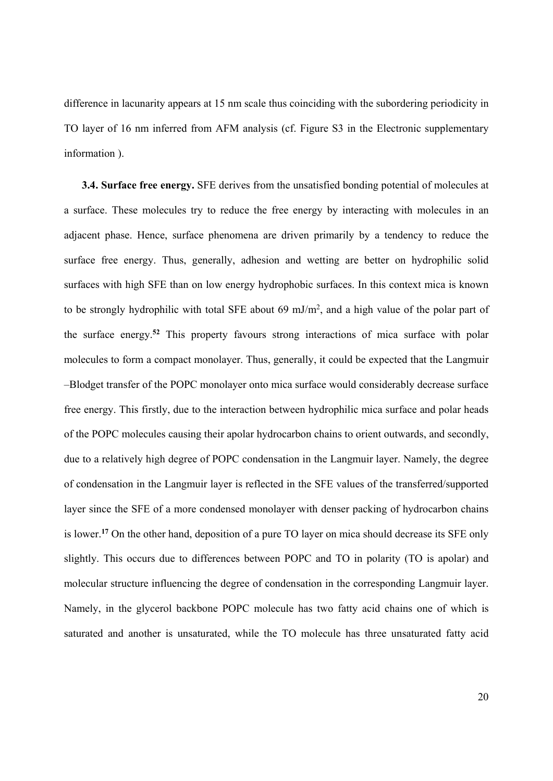difference in lacunarity appears at 15 nm scale thus coinciding with the subordering periodicity in TO layer of 16 nm inferred from AFM analysis (cf. Figure S3 in the Electronic supplementary information ).

**3.4. Surface free energy.** SFE derives from the unsatisfied bonding potential of molecules at a surface. These molecules try to reduce the free energy by interacting with molecules in an adjacent phase. Hence, surface phenomena are driven primarily by a tendency to reduce the surface free energy. Thus, generally, adhesion and wetting are better on hydrophilic solid surfaces with high SFE than on low energy hydrophobic surfaces. In this context mica is known to be strongly hydrophilic with total SFE about 69 mJ/m<sup>2</sup>, and a high value of the polar part of the surface energy.**<sup>52</sup>** This property favours strong interactions of mica surface with polar molecules to form a compact monolayer. Thus, generally, it could be expected that the Langmuir –Blodget transfer of the POPC monolayer onto mica surface would considerably decrease surface free energy. This firstly, due to the interaction between hydrophilic mica surface and polar heads of the POPC molecules causing their apolar hydrocarbon chains to orient outwards, and secondly, due to a relatively high degree of POPC condensation in the Langmuir layer. Namely, the degree of condensation in the Langmuir layer is reflected in the SFE values of the transferred/supported layer since the SFE of a more condensed monolayer with denser packing of hydrocarbon chains is lower.**<sup>17</sup>** On the other hand, deposition of a pure TO layer on mica should decrease its SFE only slightly. This occurs due to differences between POPC and TO in polarity (TO is apolar) and molecular structure influencing the degree of condensation in the corresponding Langmuir layer. Namely, in the glycerol backbone POPC molecule has two fatty acid chains one of which is saturated and another is unsaturated, while the TO molecule has three unsaturated fatty acid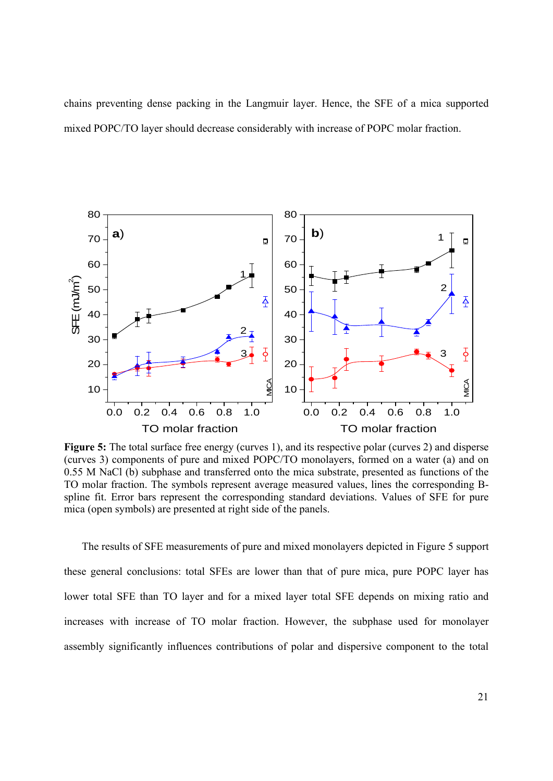chains preventing dense packing in the Langmuir layer. Hence, the SFE of a mica supported mixed POPC/TO layer should decrease considerably with increase of POPC molar fraction.



**Figure 5:** The total surface free energy (curves 1), and its respective polar (curves 2) and disperse (curves 3) components of pure and mixed POPC/TO monolayers, formed on a water (a) and on 0.55 M NaCl (b) subphase and transferred onto the mica substrate, presented as functions of the TO molar fraction. The symbols represent average measured values, lines the corresponding Bspline fit. Error bars represent the corresponding standard deviations. Values of SFE for pure mica (open symbols) are presented at right side of the panels.

The results of SFE measurements of pure and mixed monolayers depicted in Figure 5 support these general conclusions: total SFEs are lower than that of pure mica, pure POPC layer has lower total SFE than TO layer and for a mixed layer total SFE depends on mixing ratio and increases with increase of TO molar fraction. However, the subphase used for monolayer assembly significantly influences contributions of polar and dispersive component to the total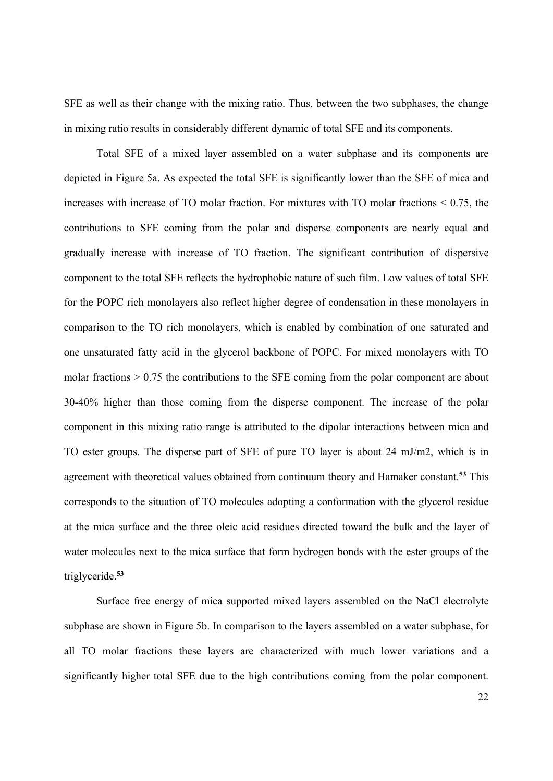SFE as well as their change with the mixing ratio. Thus, between the two subphases, the change in mixing ratio results in considerably different dynamic of total SFE and its components.

Total SFE of a mixed layer assembled on a water subphase and its components are depicted in Figure 5a. As expected the total SFE is significantly lower than the SFE of mica and increases with increase of TO molar fraction. For mixtures with TO molar fractions < 0.75, the contributions to SFE coming from the polar and disperse components are nearly equal and gradually increase with increase of TO fraction. The significant contribution of dispersive component to the total SFE reflects the hydrophobic nature of such film. Low values of total SFE for the POPC rich monolayers also reflect higher degree of condensation in these monolayers in comparison to the TO rich monolayers, which is enabled by combination of one saturated and one unsaturated fatty acid in the glycerol backbone of POPC. For mixed monolayers with TO molar fractions > 0.75 the contributions to the SFE coming from the polar component are about 30-40% higher than those coming from the disperse component. The increase of the polar component in this mixing ratio range is attributed to the dipolar interactions between mica and TO ester groups. The disperse part of SFE of pure TO layer is about 24 mJ/m2, which is in agreement with theoretical values obtained from continuum theory and Hamaker constant.**<sup>53</sup>** This corresponds to the situation of TO molecules adopting a conformation with the glycerol residue at the mica surface and the three oleic acid residues directed toward the bulk and the layer of water molecules next to the mica surface that form hydrogen bonds with the ester groups of the triglyceride.**<sup>53</sup>**

Surface free energy of mica supported mixed layers assembled on the NaCl electrolyte subphase are shown in Figure 5b. In comparison to the layers assembled on a water subphase, for all TO molar fractions these layers are characterized with much lower variations and a significantly higher total SFE due to the high contributions coming from the polar component.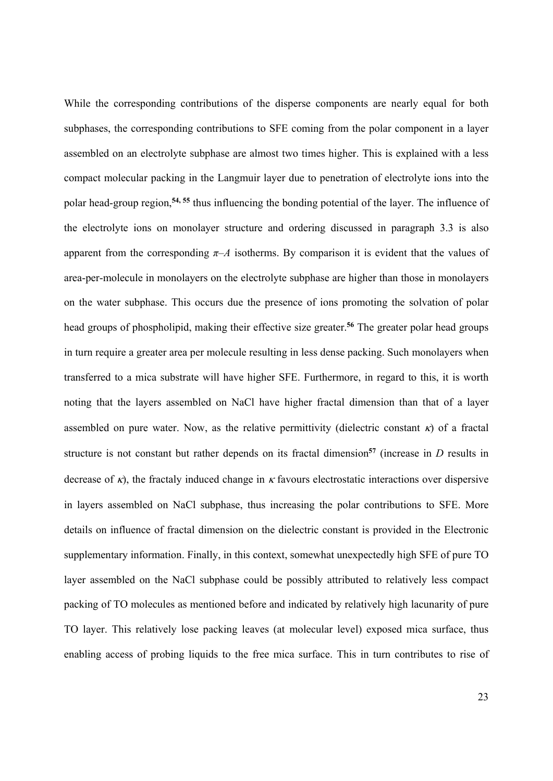While the corresponding contributions of the disperse components are nearly equal for both subphases, the corresponding contributions to SFE coming from the polar component in a layer assembled on an electrolyte subphase are almost two times higher. This is explained with a less compact molecular packing in the Langmuir layer due to penetration of electrolyte ions into the polar head-group region,**54, 55** thus influencing the bonding potential of the layer. The influence of the electrolyte ions on monolayer structure and ordering discussed in paragraph 3.3 is also apparent from the corresponding  $\pi$ –*A* isotherms. By comparison it is evident that the values of area-per-molecule in monolayers on the electrolyte subphase are higher than those in monolayers on the water subphase. This occurs due the presence of ions promoting the solvation of polar head groups of phospholipid, making their effective size greater.**<sup>56</sup>** The greater polar head groups in turn require a greater area per molecule resulting in less dense packing. Such monolayers when transferred to a mica substrate will have higher SFE. Furthermore, in regard to this, it is worth noting that the layers assembled on NaCl have higher fractal dimension than that of a layer assembled on pure water. Now, as the relative permittivity (dielectric constant  $\kappa$ ) of a fractal structure is not constant but rather depends on its fractal dimension**<sup>57</sup>** (increase in *D* results in decrease of  $\kappa$ ), the fractaly induced change in  $\kappa$  favours electrostatic interactions over dispersive in layers assembled on NaCl subphase, thus increasing the polar contributions to SFE. More details on influence of fractal dimension on the dielectric constant is provided in the Electronic supplementary information. Finally, in this context, somewhat unexpectedly high SFE of pure TO layer assembled on the NaCl subphase could be possibly attributed to relatively less compact packing of TO molecules as mentioned before and indicated by relatively high lacunarity of pure TO layer. This relatively lose packing leaves (at molecular level) exposed mica surface, thus enabling access of probing liquids to the free mica surface. This in turn contributes to rise of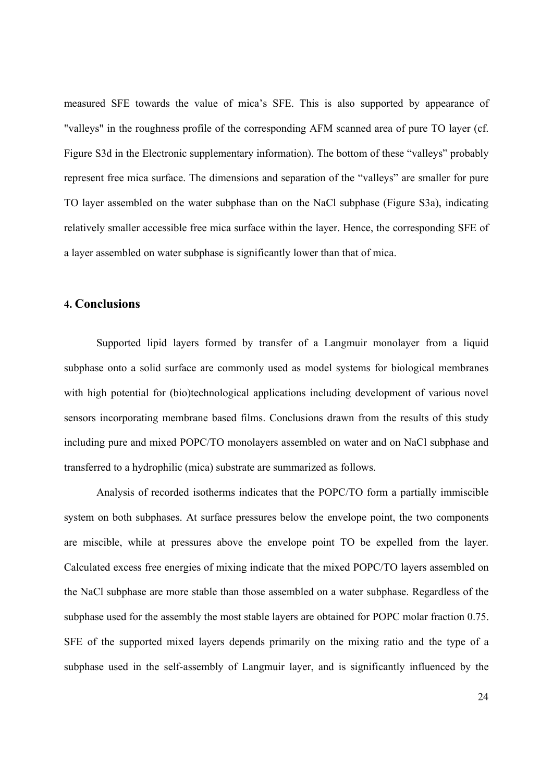measured SFE towards the value of mica's SFE. This is also supported by appearance of "valleys" in the roughness profile of the corresponding AFM scanned area of pure TO layer (cf. Figure S3d in the Electronic supplementary information). The bottom of these "valleys" probably represent free mica surface. The dimensions and separation of the "valleys" are smaller for pure TO layer assembled on the water subphase than on the NaCl subphase (Figure S3a), indicating relatively smaller accessible free mica surface within the layer. Hence, the corresponding SFE of a layer assembled on water subphase is significantly lower than that of mica.

### **4. Conclusions**

Supported lipid layers formed by transfer of a Langmuir monolayer from a liquid subphase onto a solid surface are commonly used as model systems for biological membranes with high potential for (bio)technological applications including development of various novel sensors incorporating membrane based films. Conclusions drawn from the results of this study including pure and mixed POPC/TO monolayers assembled on water and on NaCl subphase and transferred to a hydrophilic (mica) substrate are summarized as follows.

Analysis of recorded isotherms indicates that the POPC/TO form a partially immiscible system on both subphases. At surface pressures below the envelope point, the two components are miscible, while at pressures above the envelope point TO be expelled from the layer. Calculated excess free energies of mixing indicate that the mixed POPC/TO layers assembled on the NaCl subphase are more stable than those assembled on a water subphase. Regardless of the subphase used for the assembly the most stable layers are obtained for POPC molar fraction 0.75. SFE of the supported mixed layers depends primarily on the mixing ratio and the type of a subphase used in the self-assembly of Langmuir layer, and is significantly influenced by the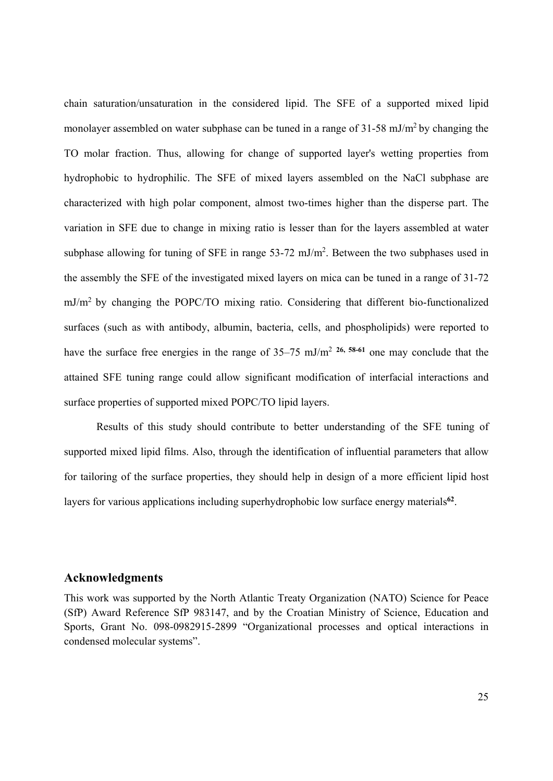chain saturation/unsaturation in the considered lipid. The SFE of a supported mixed lipid monolayer assembled on water subphase can be tuned in a range of 31-58 mJ/m2 by changing the TO molar fraction. Thus, allowing for change of supported layer's wetting properties from hydrophobic to hydrophilic. The SFE of mixed layers assembled on the NaCl subphase are characterized with high polar component, almost two-times higher than the disperse part. The variation in SFE due to change in mixing ratio is lesser than for the layers assembled at water subphase allowing for tuning of SFE in range  $53-72$  mJ/m<sup>2</sup>. Between the two subphases used in the assembly the SFE of the investigated mixed layers on mica can be tuned in a range of 31-72 mJ/m2 by changing the POPC/TO mixing ratio. Considering that different bio-functionalized surfaces (such as with antibody, albumin, bacteria, cells, and phospholipids) were reported to have the surface free energies in the range of 35–75 mJ/m2 **26, 58-61** one may conclude that the attained SFE tuning range could allow significant modification of interfacial interactions and surface properties of supported mixed POPC/TO lipid layers.

Results of this study should contribute to better understanding of the SFE tuning of supported mixed lipid films. Also, through the identification of influential parameters that allow for tailoring of the surface properties, they should help in design of a more efficient lipid host layers for various applications including superhydrophobic low surface energy materials**<sup>62</sup>**.

### **Acknowledgments**

This work was supported by the North Atlantic Treaty Organization (NATO) Science for Peace (SfP) Award Reference SfP 983147, and by the Croatian Ministry of Science, Education and Sports, Grant No. 098-0982915-2899 "Organizational processes and optical interactions in condensed molecular systems".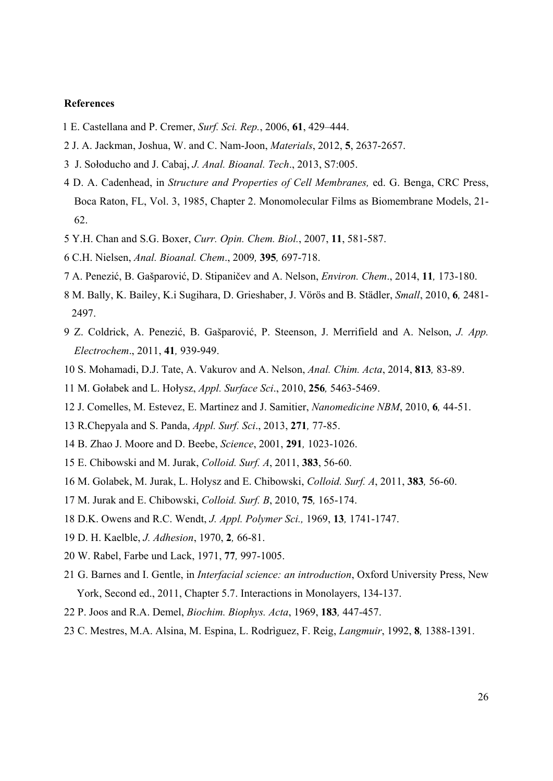#### **References**

- 1 E. Castellana and P. Cremer, *Surf. Sci. Rep.*, 2006, **61**, 429–444.
- 2 J. A. Jackman, Joshua, W. and C. Nam-Joon, *Materials*, 2012, **5**, 2637-2657.
- 3 J. Sołoducho and J. Cabaj, *J. Anal. Bioanal. Tech*., 2013, S7:005.
- 4 D. A. Cadenhead, in *Structure and Properties of Cell Membranes,* ed. G. Benga, CRC Press, Boca Raton, FL, Vol. 3, 1985, Chapter 2. Monomolecular Films as Biomembrane Models, 21- 62.
- 5 Y.H. Chan and S.G. Boxer, *Curr. Opin. Chem. Biol.*, 2007, **11**, 581-587.
- 6 C.H. Nielsen, *Anal. Bioanal. Chem*., 2009*,* **395***,* 697-718.
- 7 A. Penezić, B. Gašparović, D. Stipaničev and A. Nelson, *Environ. Chem*., 2014, **11***,* 173-180.
- 8 M. Bally, K. Bailey, K.i Sugihara, D. Grieshaber, J. Vörös and B. Städler, *Small*, 2010, **6***,* 2481- 2497.
- 9 Z. Coldrick, A. Penezić, B. Gašparović, P. Steenson, J. Merrifield and A. Nelson, *J. App. Electrochem*., 2011, **41***,* 939-949.
- 10 S. Mohamadi, D.J. Tate, A. Vakurov and A. Nelson, *Anal. Chim. Acta*, 2014, **813***,* 83-89.
- 11 M. Gołabek and L. Hołysz, *Appl. Surface Sci*., 2010, **256***,* 5463-5469.
- 12 J. Comelles, M. Estevez, E. Martinez and J. Samitier, *Nanomedicine NBM*, 2010, **6***,* 44-51.
- 13 R.Chepyala and S. Panda, *Appl. Surf. Sci*., 2013, **271***,* 77-85.
- 14 B. Zhao J. Moore and D. Beebe, *Science*, 2001, **291***,* 1023-1026.
- 15 E. Chibowski and M. Jurak, *Colloid. Surf. A*, 2011, **383**, 56-60.
- 16 M. Golabek, M. Jurak, L. Holysz and E. Chibowski, *Colloid. Surf. A*, 2011, **383***,* 56-60.
- 17 M. Jurak and E. Chibowski, *Colloid. Surf. B*, 2010, **75***,* 165-174.
- 18 D.K. Owens and R.C. Wendt, *J. Appl. Polymer Sci.,* 1969, **13***,* 1741-1747.
- 19 D. H. Kaelble, *J. Adhesion*, 1970, **2***,* 66-81.
- 20 W. Rabel, Farbe und Lack, 1971, **77***,* 997-1005.
- 21 G. Barnes and I. Gentle, in *Interfacial science: an introduction*, Oxford University Press, New York, Second ed., 2011, Chapter 5.7. Interactions in Monolayers, 134-137.
- 22 P. Joos and R.A. Demel, *Biochim. Biophys. Acta*, 1969, **183***,* 447-457.
- 23 C. Mestres, M.A. Alsina, M. Espina, L. Rodrìguez, F. Reig, *Langmuir*, 1992, **8***,* 1388-1391.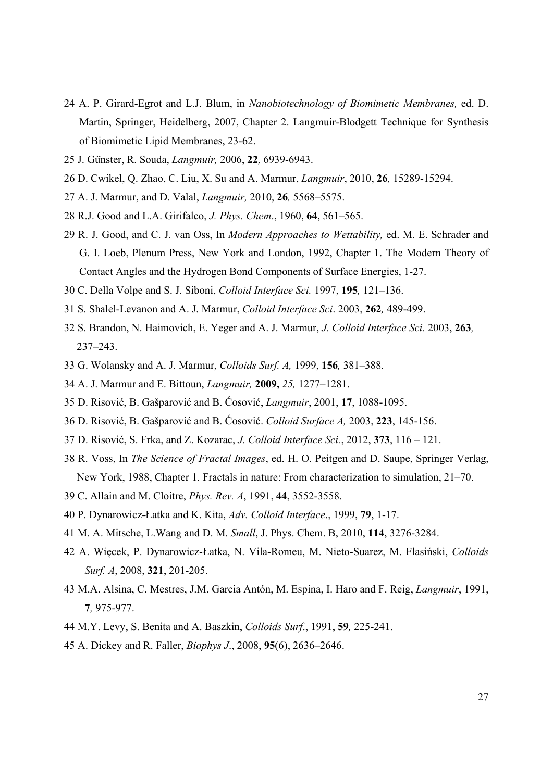- 24 A. P. Girard-Egrot and L.J. Blum, in *Nanobiotechnology of Biomimetic Membranes,* ed. D. Martin, Springer, Heidelberg, 2007, Chapter 2. Langmuir-Blodgett Technique for Synthesis of Biomimetic Lipid Membranes, 23-62.
- 25 J. Guሷnster, R. Souda, *Langmuir,* 2006, **22***,* 6939-6943.
- 26 D. Cwikel, Q. Zhao, C. Liu, X. Su and A. Marmur, *Langmuir*, 2010, **26***,* 15289-15294.
- 27 A. J. Marmur, and D. Valal, *Langmuir,* 2010, **26***,* 5568–5575.
- 28 R.J. Good and L.A. Girifalco, *J. Phys. Chem*., 1960, **64**, 561–565.
- 29 R. J. Good, and C. J. van Oss, In *Modern Approaches to Wettability,* ed. M. E. Schrader and G. I. Loeb, Plenum Press, New York and London, 1992, Chapter 1. The Modern Theory of Contact Angles and the Hydrogen Bond Components of Surface Energies, 1-27.
- 30 C. Della Volpe and S. J. Siboni, *Colloid Interface Sci.* 1997, **195***,* 121–136.
- 31 S. Shalel-Levanon and A. J. Marmur, *Colloid Interface Sci*. 2003, **262***,* 489-499.
- 32 S. Brandon, N. Haimovich, E. Yeger and A. J. Marmur, *J. Colloid Interface Sci.* 2003, **263***,* 237–243.
- 33 G. Wolansky and A. J. Marmur, *Colloids Surf. A,* 1999, **156***,* 381–388.
- 34 A. J. Marmur and E. Bittoun, *Langmuir,* **2009,** *25,* 1277–1281.
- 35 D. Risović, B. Gašparović and B. Ćosović, *Langmuir*, 2001, **17**, 1088-1095.
- 36 D. Risović, B. Gašparović and B. Ćosović. *Colloid Surface A,* 2003, **223**, 145-156.
- 37 D. Risović, S. Frka, and Z. Kozarac, *J. Colloid Interface Sci.*, 2012, **373**, 116 121.
- 38 R. Voss, In *The Science of Fractal Images*, ed. H. O. Peitgen and D. Saupe, Springer Verlag, New York, 1988, Chapter 1. Fractals in nature: From characterization to simulation, 21–70.
- 39 C. Allain and M. Cloitre, *Phys. Rev. A*, 1991, **44**, 3552-3558.
- 40 P. Dynarowicz-Łatka and K. Kita, *Adv. Colloid Interface*., 1999, **79**, 1-17.
- 41 M. A. Mitsche, L.Wang and D. M. *Small*, J. Phys. Chem. B, 2010, **114**, 3276-3284.
- 42 A. Więcek, P. Dynarowicz-Łatka, N. Vila-Romeu, M. Nieto-Suarez, M. Flasiński, *Colloids Surf. A*, 2008, **321**, 201-205.
- 43 M.A. Alsina, C. Mestres, J.M. Garcia Antón, M. Espina, I. Haro and F. Reig, *Langmuir*, 1991, **7***,* 975-977.
- 44 M.Y. Levy, S. Benita and A. Baszkin, *Colloids Surf*., 1991, **59***,* 225-241.
- 45 A. Dickey and R. Faller, *Biophys J*., 2008, **95**(6), 2636–2646.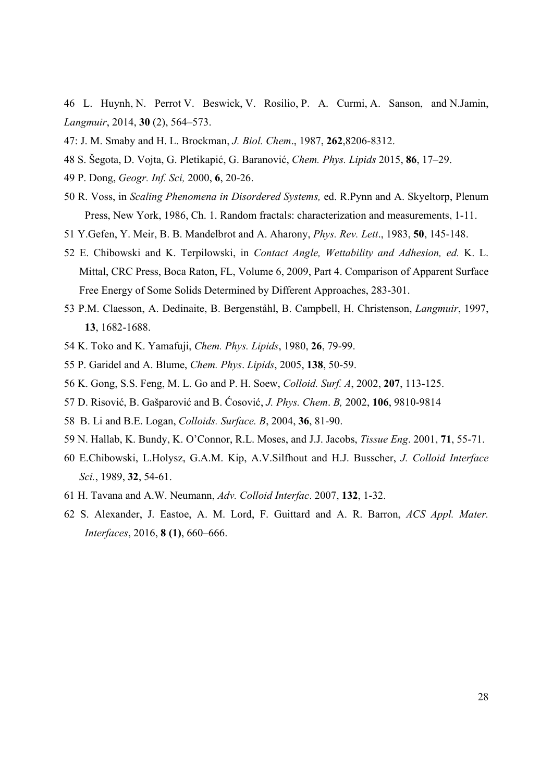- 46 L. Huynh, N. Perrot V. Beswick, V. Rosilio, P. A. Curmi, A. Sanson, and N.Jamin, *Langmuir*, 2014, **30** (2), 564–573.
- 47: J. M. Smaby and H. L. Brockman, *J. Biol. Chem*., 1987, **262**,8206-8312.
- 48 S. Šegota, D. Vojta, G. Pletikapić, G. Baranović, *Chem. Phys. Lipids* 2015, **86**, 17–29.
- 49 P. Dong, *Geogr. Inf. Sci,* 2000, **6**, 20-26.
- 50 R. Voss, in *Scaling Phenomena in Disordered Systems,* ed. R.Pynn and A. Skyeltorp, Plenum Press, New York, 1986, Ch. 1. Random fractals: characterization and measurements, 1-11.
- 51 Y.Gefen, Y. Meir, B. B. Mandelbrot and A. Aharony, *Phys. Rev. Lett*., 1983, **50**, 145-148.
- 52 E. Chibowski and K. Terpilowski, in *Contact Angle, Wettability and Adhesion, ed.* K. L. Mittal, CRC Press, Boca Raton, FL, Volume 6, 2009, Part 4. Comparison of Apparent Surface Free Energy of Some Solids Determined by Different Approaches, 283-301.
- 53 P.M. Claesson, A. Dedinaite, B. Bergenståhl, B. Campbell, H. Christenson, *Langmuir*, 1997, **13**, 1682-1688.
- 54 K. Toko and K. Yamafuji, *Chem. Phys. Lipids*, 1980, **26**, 79-99.
- 55 P. Garidel and A. Blume, *Chem. Phys*. *Lipids*, 2005, **138**, 50-59.
- 56 K. Gong, S.S. Feng, M. L. Go and P. H. Soew, *Colloid. Surf. A*, 2002, **207**, 113-125.
- 57 D. Risović, B. Gašparović and B. Ćosović, *J. Phys. Chem*. *B,* 2002, **106**, 9810-9814
- 58 B. Li and B.E. Logan, *Colloids. Surface. B*, 2004, **36**, 81-90.
- 59 N. Hallab, K. Bundy, K. O'Connor, R.L. Moses, and J.J. Jacobs, *Tissue Eng*. 2001, **71**, 55-71.
- 60 E.Chibowski, L.Holysz, G.A.M. Kip, A.V.Silfhout and H.J. Busscher, *J. Colloid Interface Sci.*, 1989, **32**, 54-61.
- 61 H. Tavana and A.W. Neumann, *Adv. Colloid Interfac*. 2007, **132**, 1-32.
- 62 S. Alexander, J. Eastoe, A. M. Lord, F. Guittard and A. R. Barron, *ACS Appl. Mater. Interfaces*, 2016, **8 (1)**, 660–666.